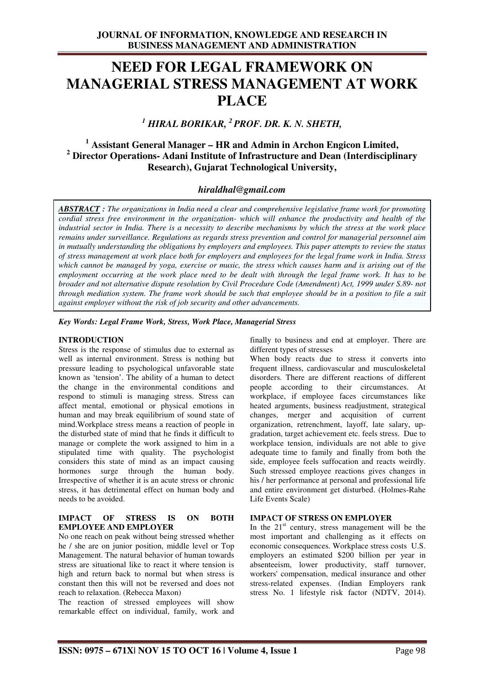# **NEED FOR LEGAL FRAMEWORK ON MANAGERIAL STRESS MANAGEMENT AT WORK PLACE**

# *1 HIRAL BORIKAR, <sup>2</sup>PROF. DR. K. N. SHETH,*

# **1 Assistant General Manager – HR and Admin in Archon Engicon Limited, 2 Director Operations- Adani Institute of Infrastructure and Dean (Interdisciplinary Research), Gujarat Technological University,**

## *hiraldhal@gmail.com*

*ABSTRACT : The organizations in India need a clear and comprehensive legislative frame work for promoting cordial stress free environment in the organization- which will enhance the productivity and health of the industrial sector in India. There is a necessity to describe mechanisms by which the stress at the work place remains under surveillance. Regulations as regards stress prevention and control for managerial personnel aim in mutually understanding the obligations by employers and employees. This paper attempts to review the status of stress management at work place both for employers and employees for the legal frame work in India. Stress which cannot be managed by yoga, exercise or music, the stress which causes harm and is arising out of the employment occurring at the work place need to be dealt with through the legal frame work. It has to be broader and not alternative dispute resolution by Civil Procedure Code (Amendment) Act, 1999 under S.89- not through mediation system. The frame work should be such that employee should be in a position to file a suit against employer without the risk of job security and other advancements.* 

#### *Key Words: Legal Frame Work, Stress, Work Place, Managerial Stress*

#### **INTRODUCTION**

Stress is the response of stimulus due to external as well as internal environment. Stress is nothing but pressure leading to psychological unfavorable state known as 'tension'. The ability of a human to detect the change in the environmental conditions and respond to stimuli is managing stress. Stress can affect mental, emotional or physical emotions in human and may break equilibrium of sound state of mind.Workplace stress means a reaction of people in the disturbed state of mind that he finds it difficult to manage or complete the work assigned to him in a stipulated time with quality. The psychologist considers this state of mind as an impact causing hormones surge through the human body. Irrespective of whether it is an acute stress or chronic stress, it has detrimental effect on human body and needs to be avoided.

#### **IMPACT OF STRESS IS ON BOTH EMPLOYEE AND EMPLOYER**

No one reach on peak without being stressed whether he / she are on junior position, middle level or Top Management. The natural behavior of human towards stress are situational like to react it where tension is high and return back to normal but when stress is constant then this will not be reversed and does not reach to relaxation. (Rebecca Maxon)

The reaction of stressed employees will show remarkable effect on individual, family, work and finally to business and end at employer. There are different types of stresses

When body reacts due to stress it converts into frequent illness, cardiovascular and musculoskeletal disorders. There are different reactions of different people according to their circumstances. At workplace, if employee faces circumstances like heated arguments, business readjustment, strategical changes, merger and acquisition of current organization, retrenchment, layoff, late salary, upgradation, target achievement etc. feels stress. Due to workplace tension, individuals are not able to give adequate time to family and finally from both the side, employee feels suffocation and reacts weirdly. Such stressed employee reactions gives changes in his / her performance at personal and professional life and entire environment get disturbed. (Holmes-Rahe Life Events Scale)

#### **IMPACT OF STRESS ON EMPLOYER**

In the  $21<sup>st</sup>$  century, stress management will be the most important and challenging as it effects on economic consequences. Workplace stress costs U.S. employers an estimated \$200 billion per year in absenteeism, lower productivity, staff turnover, workers' compensation, medical insurance and other stress-related expenses. (Indian Employers rank stress No. 1 lifestyle risk factor (NDTV, 2014).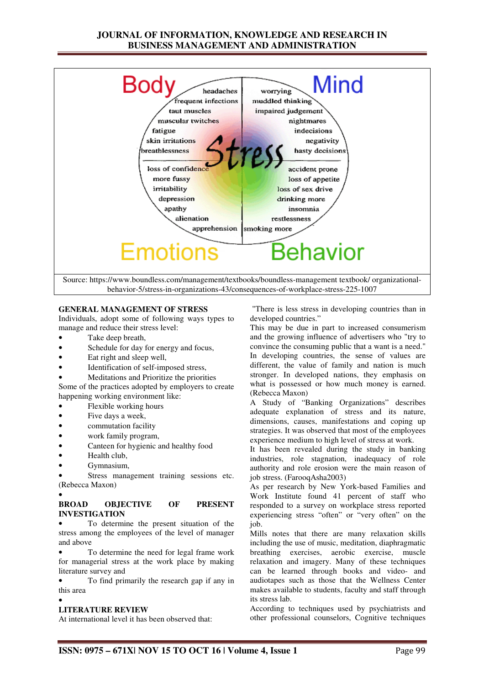## **JOURNAL OF INFORMATION, KNOWLEDGE AND RESEARCH IN BUSINESS MANAGEMENT AND ADMINISTRATION**



#### **GENERAL MANAGEMENT OF STRESS**

Individuals, adopt some of following ways types to manage and reduce their stress level:

- Take deep breath,
- Schedule for day for energy and focus,
- Eat right and sleep well,
- Identification of self-imposed stress,
- Meditations and Prioritize the priorities

Some of the practices adopted by employers to create happening working environment like:

- Flexible working hours
- Five days a week.
- commutation facility
- work family program,
- Canteen for hygienic and healthy food
- Health club,
- Gymnasium,

•

Stress management training sessions etc. (Rebecca Maxon)

#### **BROAD OBJECTIVE OF PRESENT INVESTIGATION**

• To determine the present situation of the stress among the employees of the level of manager and above

• To determine the need for legal frame work for managerial stress at the work place by making literature survey and

• To find primarily the research gap if any in this area •

#### **LITERATURE REVIEW**

At international level it has been observed that:

 "There is less stress in developing countries than in developed countries."

This may be due in part to increased consumerism and the growing influence of advertisers who "try to convince the consuming public that a want is a need." In developing countries, the sense of values are different, the value of family and nation is much stronger. In developed nations, they emphasis on what is possessed or how much money is earned. (Rebecca Maxon)

A Study of "Banking Organizations" describes adequate explanation of stress and its nature, dimensions, causes, manifestations and coping up strategies. It was observed that most of the employees experience medium to high level of stress at work.

It has been revealed during the study in banking industries, role stagnation, inadequacy of role authority and role erosion were the main reason of job stress. (FarooqAsha2003)

As per research by New York-based Families and Work Institute found 41 percent of staff who responded to a survey on workplace stress reported experiencing stress "often" or "very often" on the job.

Mills notes that there are many relaxation skills including the use of music, meditation, diaphragmatic breathing exercises, aerobic exercise, muscle relaxation and imagery. Many of these techniques can be learned through books and video- and audiotapes such as those that the Wellness Center makes available to students, faculty and staff through its stress lab.

According to techniques used by psychiatrists and other professional counselors, Cognitive techniques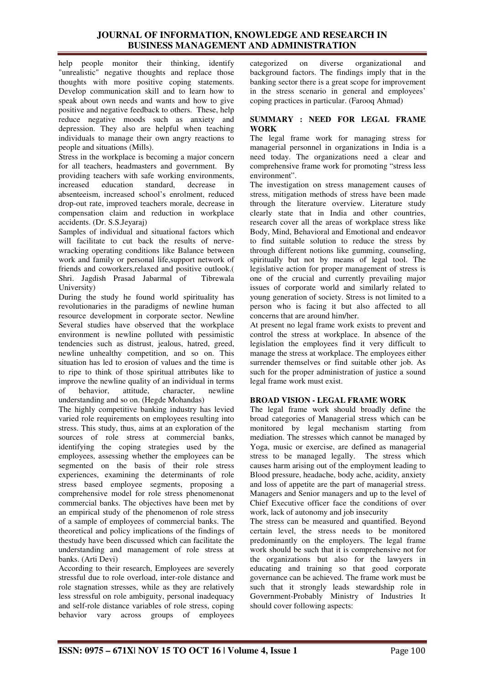## **JOURNAL OF INFORMATION, KNOWLEDGE AND RESEARCH IN BUSINESS MANAGEMENT AND ADMINISTRATION**

help people monitor their thinking, identify "unrealistic" negative thoughts and replace those thoughts with more positive coping statements. Develop communication skill and to learn how to speak about own needs and wants and how to give positive and negative feedback to others. These, help reduce negative moods such as anxiety and depression. They also are helpful when teaching individuals to manage their own angry reactions to people and situations (Mills).

Stress in the workplace is becoming a major concern for all teachers, headmasters and government. By providing teachers with safe working environments, increased education standard, decrease in absenteeism, increased school's enrolment, reduced drop-out rate, improved teachers morale, decrease in compensation claim and reduction in workplace accidents. (Dr. S.S.Jeyaraj)

Samples of individual and situational factors which will facilitate to cut back the results of nervewracking operating conditions like Balance between work and family or personal life,support network of friends and coworkers,relaxed and positive outlook.( Shri. Jagdish Prasad Jabarmal of Tibrewala University)

During the study he found world spirituality has revolutionaries in the paradigms of newline human resource development in corporate sector. Newline Several studies have observed that the workplace environment is newline polluted with pessimistic tendencies such as distrust, jealous, hatred, greed, newline unhealthy competition, and so on. This situation has led to erosion of values and the time is to ripe to think of those spiritual attributes like to improve the newline quality of an individual in terms of behavior, attitude, character, newline understanding and so on. (Hegde Mohandas)

The highly competitive banking industry has levied varied role requirements on employees resulting into stress. This study, thus, aims at an exploration of the sources of role stress at commercial banks, identifying the coping strategies used by the employees, assessing whether the employees can be segmented on the basis of their role stress experiences, examining the determinants of role stress based employee segments, proposing a comprehensive model for role stress phenomenonat commercial banks. The objectives have been met by an empirical study of the phenomenon of role stress of a sample of employees of commercial banks. The theoretical and policy implications of the findings of thestudy have been discussed which can facilitate the understanding and management of role stress at banks. (Arti Devi)

According to their research, Employees are severely stressful due to role overload, inter-role distance and role stagnation stresses, while as they are relatively less stressful on role ambiguity, personal inadequacy and self-role distance variables of role stress, coping behavior vary across groups of employees

categorized on diverse organizational and background factors. The findings imply that in the banking sector there is a great scope for improvement in the stress scenario in general and employees' coping practices in particular. (Farooq Ahmad)

#### **SUMMARY : NEED FOR LEGAL FRAME WORK**

The legal frame work for managing stress for managerial personnel in organizations in India is a need today. The organizations need a clear and comprehensive frame work for promoting "stress less environment".

The investigation on stress management causes of stress, mitigation methods of stress have been made through the literature overview. Literature study clearly state that in India and other countries, research cover all the areas of workplace stress like Body, Mind, Behavioral and Emotional and endeavor to find suitable solution to reduce the stress by through different notions like gumming, counseling, spiritually but not by means of legal tool. The legislative action for proper management of stress is one of the crucial and currently prevailing major issues of corporate world and similarly related to young generation of society. Stress is not limited to a person who is facing it but also affected to all concerns that are around him/her.

At present no legal frame work exists to prevent and control the stress at workplace. In absence of the legislation the employees find it very difficult to manage the stress at workplace. The employees either surrender themselves or find suitable other job. As such for the proper administration of justice a sound legal frame work must exist.

#### **BROAD VISION - LEGAL FRAME WORK**

The legal frame work should broadly define the broad categories of Managerial stress which can be monitored by legal mechanism starting from mediation. The stresses which cannot be managed by Yoga, music or exercise, are defined as managerial stress to be managed legally. The stress which causes harm arising out of the employment leading to Blood pressure, headache, body ache, acidity, anxiety and loss of appetite are the part of managerial stress. Managers and Senior managers and up to the level of Chief Executive officer face the conditions of over work, lack of autonomy and job insecurity

The stress can be measured and quantified. Beyond certain level, the stress needs to be monitored predominantly on the employers. The legal frame work should be such that it is comprehensive not for the organizations but also for the lawyers in educating and training so that good corporate governance can be achieved. The frame work must be such that it strongly leads stewardship role in Government-Probably Ministry of Industries It should cover following aspects: